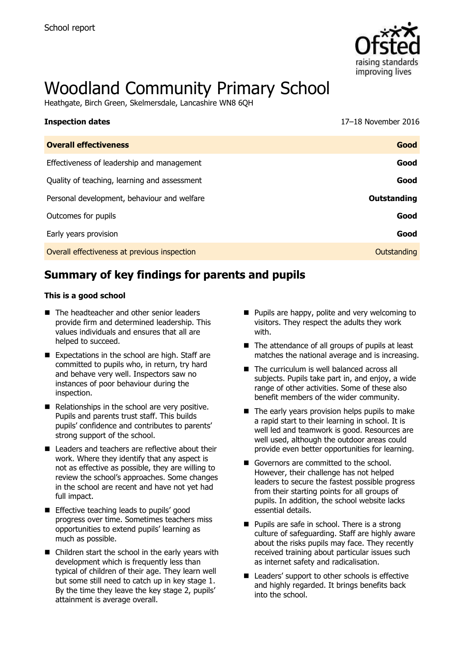

# Woodland Community Primary School

Heathgate, Birch Green, Skelmersdale, Lancashire WN8 6QH

| <b>Inspection dates</b>                      | 17-18 November 2016 |
|----------------------------------------------|---------------------|
| <b>Overall effectiveness</b>                 | Good                |
| Effectiveness of leadership and management   | Good                |
| Quality of teaching, learning and assessment | Good                |
| Personal development, behaviour and welfare  | Outstanding         |
| Outcomes for pupils                          | Good                |
| Early years provision                        | Good                |
| Overall effectiveness at previous inspection | Outstanding         |
|                                              |                     |

# **Summary of key findings for parents and pupils**

#### **This is a good school**

- The headteacher and other senior leaders provide firm and determined leadership. This values individuals and ensures that all are helped to succeed.
- $\blacksquare$  Expectations in the school are high. Staff are committed to pupils who, in return, try hard and behave very well. Inspectors saw no instances of poor behaviour during the inspection.
- $\blacksquare$  Relationships in the school are very positive. Pupils and parents trust staff. This builds pupils' confidence and contributes to parents' strong support of the school.
- Leaders and teachers are reflective about their work. Where they identify that any aspect is not as effective as possible, they are willing to review the school's approaches. Some changes in the school are recent and have not yet had full impact.
- **Effective teaching leads to pupils' good** progress over time. Sometimes teachers miss opportunities to extend pupils' learning as much as possible.
- Children start the school in the early years with development which is frequently less than typical of children of their age. They learn well but some still need to catch up in key stage 1. By the time they leave the key stage 2, pupils' attainment is average overall.
- **Pupils are happy, polite and very welcoming to** visitors. They respect the adults they work with.
- The attendance of all groups of pupils at least matches the national average and is increasing.
- The curriculum is well balanced across all subjects. Pupils take part in, and enjoy, a wide range of other activities. Some of these also benefit members of the wider community.
- $\blacksquare$  The early years provision helps pupils to make a rapid start to their learning in school. It is well led and teamwork is good. Resources are well used, although the outdoor areas could provide even better opportunities for learning.
- Governors are committed to the school. However, their challenge has not helped leaders to secure the fastest possible progress from their starting points for all groups of pupils. In addition, the school website lacks essential details.
- **Pupils are safe in school. There is a strong** culture of safeguarding. Staff are highly aware about the risks pupils may face. They recently received training about particular issues such as internet safety and radicalisation.
- Leaders' support to other schools is effective and highly regarded. It brings benefits back into the school.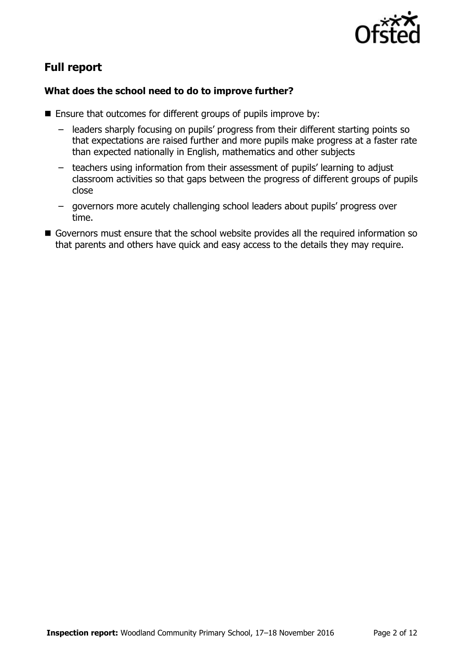

# **Full report**

### **What does the school need to do to improve further?**

- Ensure that outcomes for different groups of pupils improve by:
	- leaders sharply focusing on pupils' progress from their different starting points so that expectations are raised further and more pupils make progress at a faster rate than expected nationally in English, mathematics and other subjects
	- teachers using information from their assessment of pupils' learning to adjust classroom activities so that gaps between the progress of different groups of pupils close
	- governors more acutely challenging school leaders about pupils' progress over time.
- Governors must ensure that the school website provides all the required information so that parents and others have quick and easy access to the details they may require.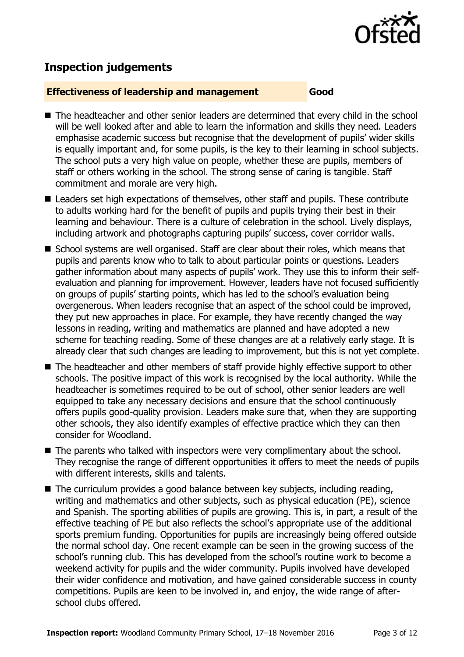

# **Inspection judgements**

#### **Effectiveness of leadership and management Good**

- The headteacher and other senior leaders are determined that every child in the school will be well looked after and able to learn the information and skills they need. Leaders emphasise academic success but recognise that the development of pupils' wider skills is equally important and, for some pupils, is the key to their learning in school subjects. The school puts a very high value on people, whether these are pupils, members of staff or others working in the school. The strong sense of caring is tangible. Staff commitment and morale are very high.
- Leaders set high expectations of themselves, other staff and pupils. These contribute to adults working hard for the benefit of pupils and pupils trying their best in their learning and behaviour. There is a culture of celebration in the school. Lively displays, including artwork and photographs capturing pupils' success, cover corridor walls.
- School systems are well organised. Staff are clear about their roles, which means that pupils and parents know who to talk to about particular points or questions. Leaders gather information about many aspects of pupils' work. They use this to inform their selfevaluation and planning for improvement. However, leaders have not focused sufficiently on groups of pupils' starting points, which has led to the school's evaluation being overgenerous. When leaders recognise that an aspect of the school could be improved, they put new approaches in place. For example, they have recently changed the way lessons in reading, writing and mathematics are planned and have adopted a new scheme for teaching reading. Some of these changes are at a relatively early stage. It is already clear that such changes are leading to improvement, but this is not yet complete.
- The headteacher and other members of staff provide highly effective support to other schools. The positive impact of this work is recognised by the local authority. While the headteacher is sometimes required to be out of school, other senior leaders are well equipped to take any necessary decisions and ensure that the school continuously offers pupils good-quality provision. Leaders make sure that, when they are supporting other schools, they also identify examples of effective practice which they can then consider for Woodland.
- The parents who talked with inspectors were very complimentary about the school. They recognise the range of different opportunities it offers to meet the needs of pupils with different interests, skills and talents.
- The curriculum provides a good balance between key subjects, including reading, writing and mathematics and other subjects, such as physical education (PE), science and Spanish. The sporting abilities of pupils are growing. This is, in part, a result of the effective teaching of PE but also reflects the school's appropriate use of the additional sports premium funding. Opportunities for pupils are increasingly being offered outside the normal school day. One recent example can be seen in the growing success of the school's running club. This has developed from the school's routine work to become a weekend activity for pupils and the wider community. Pupils involved have developed their wider confidence and motivation, and have gained considerable success in county competitions. Pupils are keen to be involved in, and enjoy, the wide range of afterschool clubs offered.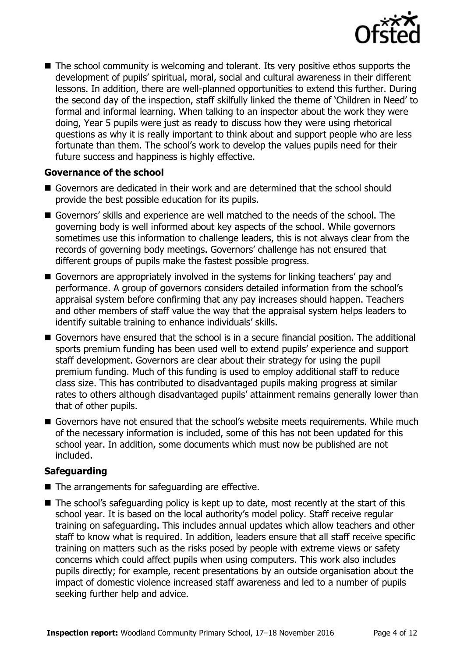

■ The school community is welcoming and tolerant. Its very positive ethos supports the development of pupils' spiritual, moral, social and cultural awareness in their different lessons. In addition, there are well-planned opportunities to extend this further. During the second day of the inspection, staff skilfully linked the theme of 'Children in Need' to formal and informal learning. When talking to an inspector about the work they were doing, Year 5 pupils were just as ready to discuss how they were using rhetorical questions as why it is really important to think about and support people who are less fortunate than them. The school's work to develop the values pupils need for their future success and happiness is highly effective.

#### **Governance of the school**

- Governors are dedicated in their work and are determined that the school should provide the best possible education for its pupils.
- Governors' skills and experience are well matched to the needs of the school. The governing body is well informed about key aspects of the school. While governors sometimes use this information to challenge leaders, this is not always clear from the records of governing body meetings. Governors' challenge has not ensured that different groups of pupils make the fastest possible progress.
- Governors are appropriately involved in the systems for linking teachers' pay and performance. A group of governors considers detailed information from the school's appraisal system before confirming that any pay increases should happen. Teachers and other members of staff value the way that the appraisal system helps leaders to identify suitable training to enhance individuals' skills.
- Governors have ensured that the school is in a secure financial position. The additional sports premium funding has been used well to extend pupils' experience and support staff development. Governors are clear about their strategy for using the pupil premium funding. Much of this funding is used to employ additional staff to reduce class size. This has contributed to disadvantaged pupils making progress at similar rates to others although disadvantaged pupils' attainment remains generally lower than that of other pupils.
- Governors have not ensured that the school's website meets requirements. While much of the necessary information is included, some of this has not been updated for this school year. In addition, some documents which must now be published are not included.

#### **Safeguarding**

- $\blacksquare$  The arrangements for safeguarding are effective.
- The school's safeguarding policy is kept up to date, most recently at the start of this school year. It is based on the local authority's model policy. Staff receive regular training on safeguarding. This includes annual updates which allow teachers and other staff to know what is required. In addition, leaders ensure that all staff receive specific training on matters such as the risks posed by people with extreme views or safety concerns which could affect pupils when using computers. This work also includes pupils directly; for example, recent presentations by an outside organisation about the impact of domestic violence increased staff awareness and led to a number of pupils seeking further help and advice.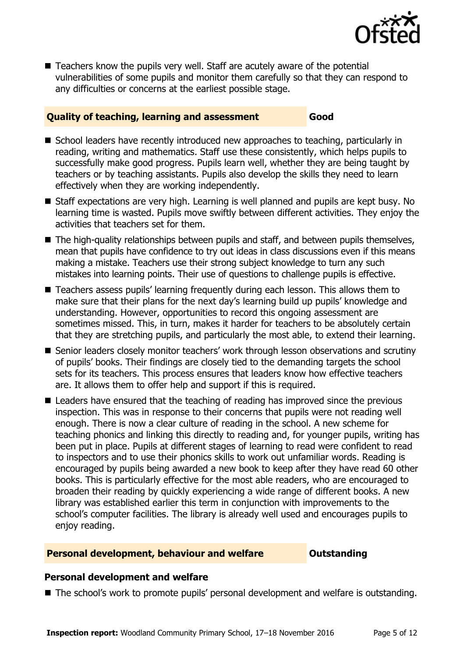

■ Teachers know the pupils very well. Staff are acutely aware of the potential vulnerabilities of some pupils and monitor them carefully so that they can respond to any difficulties or concerns at the earliest possible stage.

#### **Quality of teaching, learning and assessment Good**

- School leaders have recently introduced new approaches to teaching, particularly in reading, writing and mathematics. Staff use these consistently, which helps pupils to successfully make good progress. Pupils learn well, whether they are being taught by teachers or by teaching assistants. Pupils also develop the skills they need to learn effectively when they are working independently.
- Staff expectations are very high. Learning is well planned and pupils are kept busy. No learning time is wasted. Pupils move swiftly between different activities. They enjoy the activities that teachers set for them.
- $\blacksquare$  The high-quality relationships between pupils and staff, and between pupils themselves, mean that pupils have confidence to try out ideas in class discussions even if this means making a mistake. Teachers use their strong subject knowledge to turn any such mistakes into learning points. Their use of questions to challenge pupils is effective.
- Teachers assess pupils' learning frequently during each lesson. This allows them to make sure that their plans for the next day's learning build up pupils' knowledge and understanding. However, opportunities to record this ongoing assessment are sometimes missed. This, in turn, makes it harder for teachers to be absolutely certain that they are stretching pupils, and particularly the most able, to extend their learning.
- Senior leaders closely monitor teachers' work through lesson observations and scrutiny of pupils' books. Their findings are closely tied to the demanding targets the school sets for its teachers. This process ensures that leaders know how effective teachers are. It allows them to offer help and support if this is required.
- Leaders have ensured that the teaching of reading has improved since the previous inspection. This was in response to their concerns that pupils were not reading well enough. There is now a clear culture of reading in the school. A new scheme for teaching phonics and linking this directly to reading and, for younger pupils, writing has been put in place. Pupils at different stages of learning to read were confident to read to inspectors and to use their phonics skills to work out unfamiliar words. Reading is encouraged by pupils being awarded a new book to keep after they have read 60 other books. This is particularly effective for the most able readers, who are encouraged to broaden their reading by quickly experiencing a wide range of different books. A new library was established earlier this term in conjunction with improvements to the school's computer facilities. The library is already well used and encourages pupils to enjoy reading.

#### **Personal development, behaviour and welfare <b>COUNG COULDER** Outstanding

#### **Personal development and welfare**

■ The school's work to promote pupils' personal development and welfare is outstanding.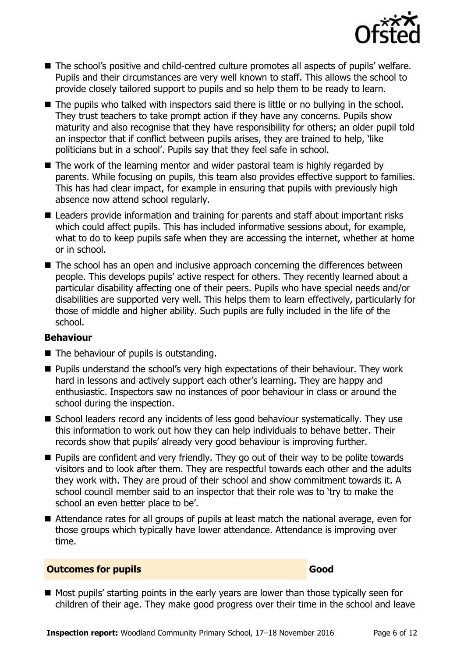

- The school's positive and child-centred culture promotes all aspects of pupils' welfare. Pupils and their circumstances are very well known to staff. This allows the school to provide closely tailored support to pupils and so help them to be ready to learn.
- The pupils who talked with inspectors said there is little or no bullying in the school. They trust teachers to take prompt action if they have any concerns. Pupils show maturity and also recognise that they have responsibility for others; an older pupil told an inspector that if conflict between pupils arises, they are trained to help, 'like politicians but in a school'. Pupils say that they feel safe in school.
- The work of the learning mentor and wider pastoral team is highly regarded by parents. While focusing on pupils, this team also provides effective support to families. This has had clear impact, for example in ensuring that pupils with previously high absence now attend school regularly.
- Leaders provide information and training for parents and staff about important risks which could affect pupils. This has included informative sessions about, for example, what to do to keep pupils safe when they are accessing the internet, whether at home or in school.
- The school has an open and inclusive approach concerning the differences between people. This develops pupils' active respect for others. They recently learned about a particular disability affecting one of their peers. Pupils who have special needs and/or disabilities are supported very well. This helps them to learn effectively, particularly for those of middle and higher ability. Such pupils are fully included in the life of the school.

#### **Behaviour**

- The behaviour of pupils is outstanding.
- **Pupils understand the school's very high expectations of their behaviour. They work** hard in lessons and actively support each other's learning. They are happy and enthusiastic. Inspectors saw no instances of poor behaviour in class or around the school during the inspection.
- School leaders record any incidents of less good behaviour systematically. They use this information to work out how they can help individuals to behave better. Their records show that pupils' already very good behaviour is improving further.
- **Pupils are confident and very friendly. They go out of their way to be polite towards** visitors and to look after them. They are respectful towards each other and the adults they work with. They are proud of their school and show commitment towards it. A school council member said to an inspector that their role was to 'try to make the school an even better place to be'.
- Attendance rates for all groups of pupils at least match the national average, even for those groups which typically have lower attendance. Attendance is improving over time.

#### **Outcomes for pupils Good Good**

Most pupils' starting points in the early years are lower than those typically seen for children of their age. They make good progress over their time in the school and leave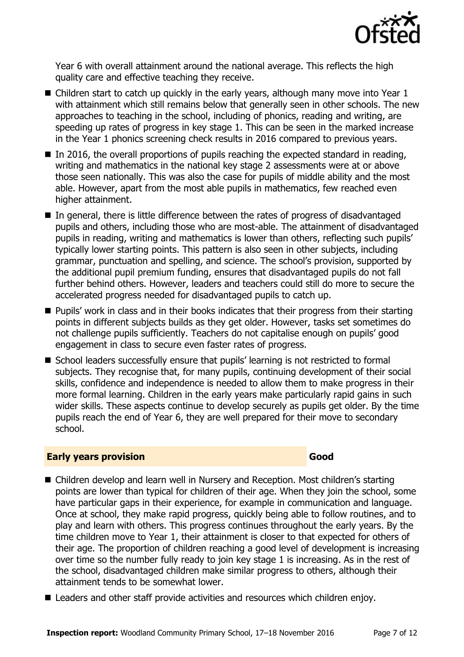

Year 6 with overall attainment around the national average. This reflects the high quality care and effective teaching they receive.

- Children start to catch up quickly in the early years, although many move into Year 1 with attainment which still remains below that generally seen in other schools. The new approaches to teaching in the school, including of phonics, reading and writing, are speeding up rates of progress in key stage 1. This can be seen in the marked increase in the Year 1 phonics screening check results in 2016 compared to previous years.
- $\blacksquare$  In 2016, the overall proportions of pupils reaching the expected standard in reading, writing and mathematics in the national key stage 2 assessments were at or above those seen nationally. This was also the case for pupils of middle ability and the most able. However, apart from the most able pupils in mathematics, few reached even higher attainment.
- In general, there is little difference between the rates of progress of disadvantaged pupils and others, including those who are most-able. The attainment of disadvantaged pupils in reading, writing and mathematics is lower than others, reflecting such pupils' typically lower starting points. This pattern is also seen in other subjects, including grammar, punctuation and spelling, and science. The school's provision, supported by the additional pupil premium funding, ensures that disadvantaged pupils do not fall further behind others. However, leaders and teachers could still do more to secure the accelerated progress needed for disadvantaged pupils to catch up.
- **Pupils' work in class and in their books indicates that their progress from their starting** points in different subjects builds as they get older. However, tasks set sometimes do not challenge pupils sufficiently. Teachers do not capitalise enough on pupils' good engagement in class to secure even faster rates of progress.
- School leaders successfully ensure that pupils' learning is not restricted to formal subjects. They recognise that, for many pupils, continuing development of their social skills, confidence and independence is needed to allow them to make progress in their more formal learning. Children in the early years make particularly rapid gains in such wider skills. These aspects continue to develop securely as pupils get older. By the time pupils reach the end of Year 6, they are well prepared for their move to secondary school.

#### **Early years provision Good Good**

- Children develop and learn well in Nursery and Reception. Most children's starting points are lower than typical for children of their age. When they join the school, some have particular gaps in their experience, for example in communication and language. Once at school, they make rapid progress, quickly being able to follow routines, and to play and learn with others. This progress continues throughout the early years. By the time children move to Year 1, their attainment is closer to that expected for others of their age. The proportion of children reaching a good level of development is increasing over time so the number fully ready to join key stage 1 is increasing. As in the rest of the school, disadvantaged children make similar progress to others, although their attainment tends to be somewhat lower.
- Leaders and other staff provide activities and resources which children enjoy.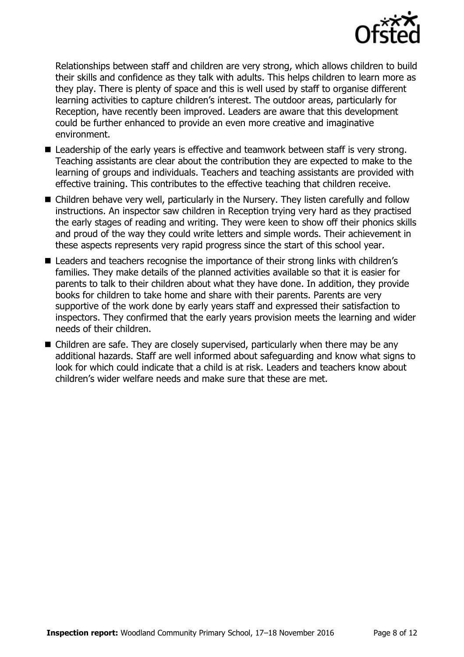

Relationships between staff and children are very strong, which allows children to build their skills and confidence as they talk with adults. This helps children to learn more as they play. There is plenty of space and this is well used by staff to organise different learning activities to capture children's interest. The outdoor areas, particularly for Reception, have recently been improved. Leaders are aware that this development could be further enhanced to provide an even more creative and imaginative environment.

- Leadership of the early years is effective and teamwork between staff is very strong. Teaching assistants are clear about the contribution they are expected to make to the learning of groups and individuals. Teachers and teaching assistants are provided with effective training. This contributes to the effective teaching that children receive.
- Children behave very well, particularly in the Nursery. They listen carefully and follow instructions. An inspector saw children in Reception trying very hard as they practised the early stages of reading and writing. They were keen to show off their phonics skills and proud of the way they could write letters and simple words. Their achievement in these aspects represents very rapid progress since the start of this school year.
- Leaders and teachers recognise the importance of their strong links with children's families. They make details of the planned activities available so that it is easier for parents to talk to their children about what they have done. In addition, they provide books for children to take home and share with their parents. Parents are very supportive of the work done by early years staff and expressed their satisfaction to inspectors. They confirmed that the early years provision meets the learning and wider needs of their children.
- Children are safe. They are closely supervised, particularly when there may be any additional hazards. Staff are well informed about safeguarding and know what signs to look for which could indicate that a child is at risk. Leaders and teachers know about children's wider welfare needs and make sure that these are met.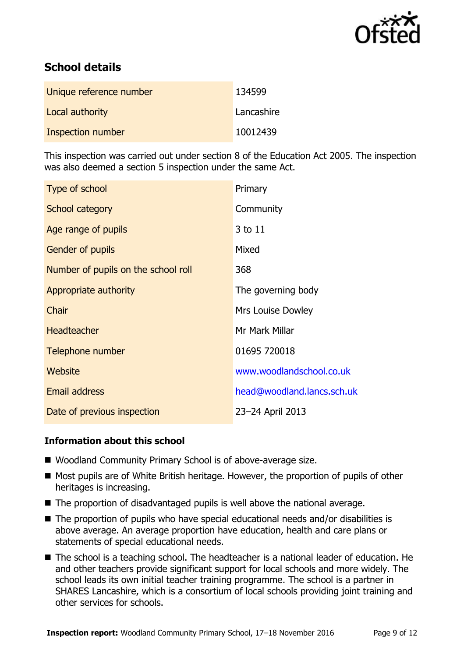

# **School details**

| Unique reference number | 134599     |
|-------------------------|------------|
| Local authority         | Lancashire |
| Inspection number       | 10012439   |

This inspection was carried out under section 8 of the Education Act 2005. The inspection was also deemed a section 5 inspection under the same Act.

| Type of school                      | Primary                    |
|-------------------------------------|----------------------------|
| School category                     | Community                  |
| Age range of pupils                 | 3 to 11                    |
| Gender of pupils                    | Mixed                      |
| Number of pupils on the school roll | 368                        |
| Appropriate authority               | The governing body         |
| Chair                               | <b>Mrs Louise Dowley</b>   |
| <b>Headteacher</b>                  | Mr Mark Millar             |
| Telephone number                    | 01695 720018               |
| <b>Website</b>                      | www.woodlandschool.co.uk   |
| <b>Email address</b>                | head@woodland.lancs.sch.uk |
| Date of previous inspection         | 23-24 April 2013           |

#### **Information about this school**

- Woodland Community Primary School is of above-average size.
- Most pupils are of White British heritage. However, the proportion of pupils of other heritages is increasing.
- The proportion of disadvantaged pupils is well above the national average.
- The proportion of pupils who have special educational needs and/or disabilities is above average. An average proportion have education, health and care plans or statements of special educational needs.
- The school is a teaching school. The headteacher is a national leader of education. He and other teachers provide significant support for local schools and more widely. The school leads its own initial teacher training programme. The school is a partner in SHARES Lancashire, which is a consortium of local schools providing joint training and other services for schools.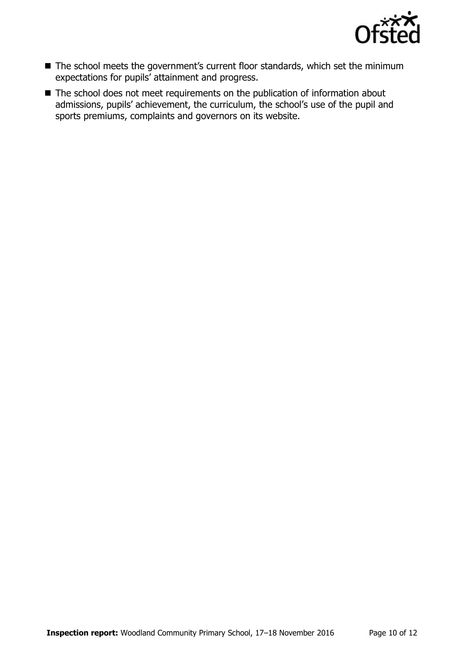

- The school meets the government's current floor standards, which set the minimum expectations for pupils' attainment and progress.
- The school does not meet requirements on the publication of information about admissions, pupils' achievement, the curriculum, the school's use of the pupil and sports premiums, complaints and governors on its website.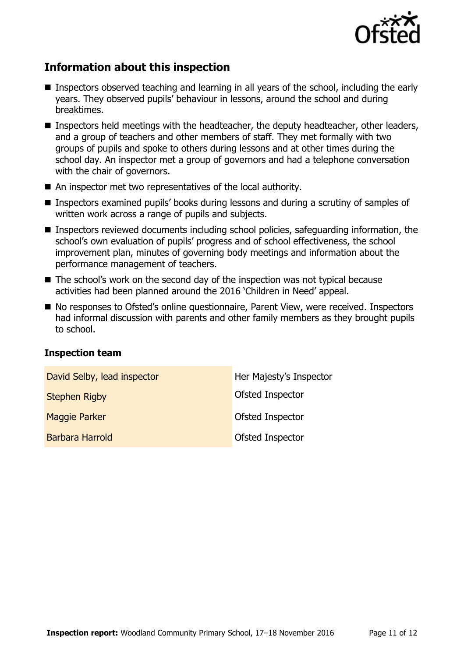

# **Information about this inspection**

- Inspectors observed teaching and learning in all years of the school, including the early years. They observed pupils' behaviour in lessons, around the school and during breaktimes.
- Inspectors held meetings with the headteacher, the deputy headteacher, other leaders, and a group of teachers and other members of staff. They met formally with two groups of pupils and spoke to others during lessons and at other times during the school day. An inspector met a group of governors and had a telephone conversation with the chair of governors.
- An inspector met two representatives of the local authority.
- Inspectors examined pupils' books during lessons and during a scrutiny of samples of written work across a range of pupils and subjects.
- Inspectors reviewed documents including school policies, safeguarding information, the school's own evaluation of pupils' progress and of school effectiveness, the school improvement plan, minutes of governing body meetings and information about the performance management of teachers.
- The school's work on the second day of the inspection was not typical because activities had been planned around the 2016 'Children in Need' appeal.
- No responses to Ofsted's online questionnaire, Parent View, were received. Inspectors had informal discussion with parents and other family members as they brought pupils to school.

#### **Inspection team**

| David Selby, lead inspector | Her Majesty's Inspector |
|-----------------------------|-------------------------|
| <b>Stephen Rigby</b>        | Ofsted Inspector        |
| <b>Maggie Parker</b>        | <b>Ofsted Inspector</b> |
| <b>Barbara Harrold</b>      | Ofsted Inspector        |